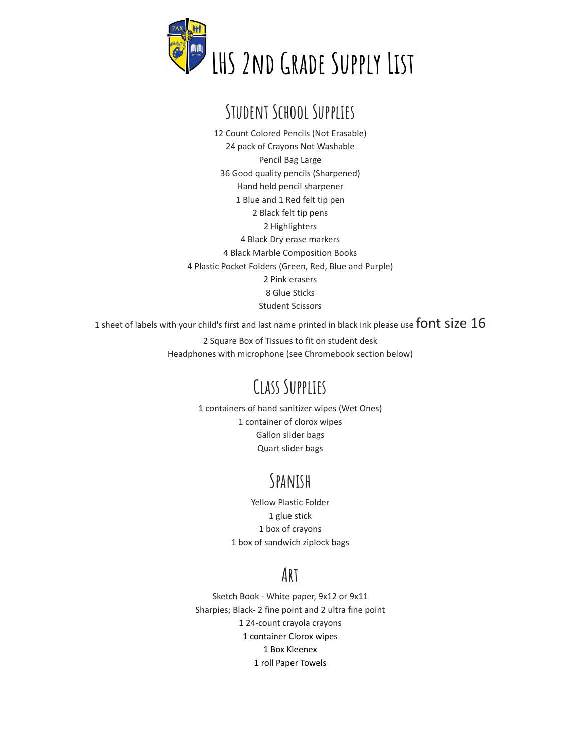

# **Student School Supplies**

 Count Colored Pencils (Not Erasable) pack of Crayons Not Washable Pencil Bag Large Good quality pencils (Sharpened) Hand held pencil sharpener Blue and 1 Red felt tip pen Black felt tip pens Highlighters Black Dry erase markers Black Marble Composition Books Plastic Pocket Folders (Green, Red, Blue and Purple) Pink erasers Glue Sticks Student Scissors

1 sheet of labels with your child's first and last name printed in black ink please use font Size

 Square Box of Tissues to fit on student desk Headphones with microphone (see Chromebook section below)

# **Class Supplies**

 containers of hand sanitizer wipes (Wet Ones) container of clorox wipes Gallon slider bags Quart slider bags

### **Spanish**

Yellow Plastic Folder glue stick box of crayons box of sandwich ziplock bags

#### **Art**

Sketch Book - White paper, 9x12 or 9x11 Sharpies; Black- 2 fine point and 2 ultra fine point 24-count crayola crayons container Clorox wipes Box Kleenex roll Paper Towels